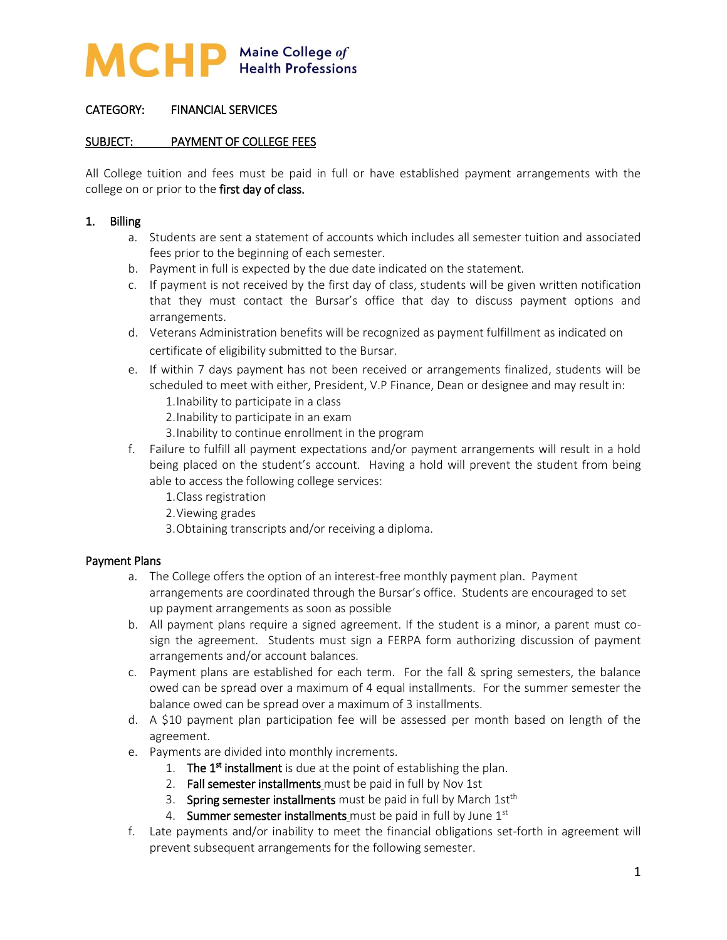

# CATEGORY: FINANCIAL SERVICES

#### SUBJECT: PAYMENT OF COLLEGE FEES

All College tuition and fees must be paid in full or have established payment arrangements with the college on or prior to the first day of class.

#### 1. Billing

- a. Students are sent a statement of accounts which includes all semester tuition and associated fees prior to the beginning of each semester.
- b. Payment in full is expected by the due date indicated on the statement.
- c. If payment is not received by the first day of class, students will be given written notification that they must contact the Bursar's office that day to discuss payment options and arrangements.
- d. Veterans Administration benefits will be recognized as payment fulfillment as indicated on certificate of eligibility submitted to the Bursar.
- e. If within 7 days payment has not been received or arrangements finalized, students will be scheduled to meet with either, President, V.P Finance, Dean or designee and may result in:
	- 1.Inability to participate in a class
	- 2.Inability to participate in an exam
	- 3.Inability to continue enrollment in the program
- f. Failure to fulfill all payment expectations and/or payment arrangements will result in a hold being placed on the student's account. Having a hold will prevent the student from being able to access the following college services:
	- 1.Class registration
	- 2.Viewing grades
	- 3.Obtaining transcripts and/or receiving a diploma.

#### Payment Plans

- a. The College offers the option of an interest-free monthly payment plan. Payment arrangements are coordinated through the Bursar's office. Students are encouraged to set up payment arrangements as soon as possible
- b. All payment plans require a signed agreement. If the student is a minor, a parent must cosign the agreement. Students must sign a FERPA form authorizing discussion of payment arrangements and/or account balances.
- c. Payment plans are established for each term. For the fall & spring semesters, the balance owed can be spread over a maximum of 4 equal installments. For the summer semester the balance owed can be spread over a maximum of 3 installments.
- d. A \$10 payment plan participation fee will be assessed per month based on length of the agreement.
- e. Payments are divided into monthly increments.
	- 1. The 1<sup>st</sup> installment is due at the point of establishing the plan.
	- 2. Fall semester installments must be paid in full by Nov 1st
	- 3. Spring semester installments must be paid in full by March 1st<sup>th</sup>
	- 4. Summer semester installments must be paid in full by June  $1<sup>st</sup>$
- f. Late payments and/or inability to meet the financial obligations set-forth in agreement will prevent subsequent arrangements for the following semester.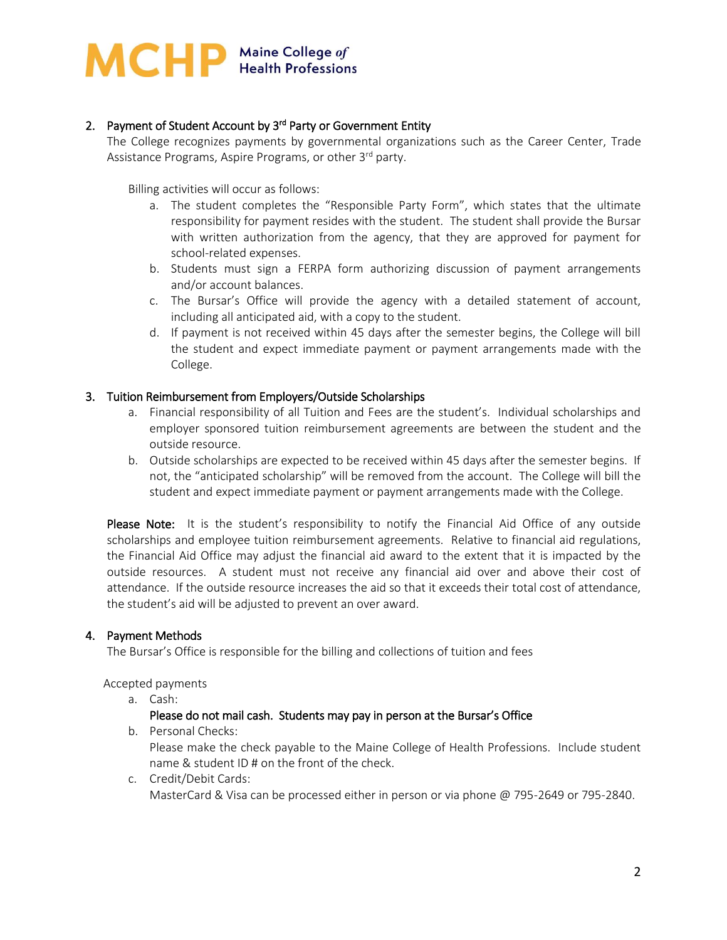

# 2. Payment of Student Account by 3<sup>rd</sup> Party or Government Entity

The College recognizes payments by governmental organizations such as the Career Center, Trade Assistance Programs, Aspire Programs, or other 3<sup>rd</sup> party.

Billing activities will occur as follows:

- a. The student completes the "Responsible Party Form", which states that the ultimate responsibility for payment resides with the student. The student shall provide the Bursar with written authorization from the agency, that they are approved for payment for school-related expenses.
- b. Students must sign a FERPA form authorizing discussion of payment arrangements and/or account balances.
- c. The Bursar's Office will provide the agency with a detailed statement of account, including all anticipated aid, with a copy to the student.
- d. If payment is not received within 45 days after the semester begins, the College will bill the student and expect immediate payment or payment arrangements made with the College.

#### 3. Tuition Reimbursement from Employers/Outside Scholarships

- a. Financial responsibility of all Tuition and Fees are the student's. Individual scholarships and employer sponsored tuition reimbursement agreements are between the student and the outside resource.
- b. Outside scholarships are expected to be received within 45 days after the semester begins. If not, the "anticipated scholarship" will be removed from the account. The College will bill the student and expect immediate payment or payment arrangements made with the College.

Please Note: It is the student's responsibility to notify the Financial Aid Office of any outside scholarships and employee tuition reimbursement agreements. Relative to financial aid regulations, the Financial Aid Office may adjust the financial aid award to the extent that it is impacted by the outside resources. A student must not receive any financial aid over and above their cost of attendance. If the outside resource increases the aid so that it exceeds their total cost of attendance, the student's aid will be adjusted to prevent an over award.

#### 4. Payment Methods

The Bursar's Office is responsible for the billing and collections of tuition and fees

Accepted payments

a. Cash:

#### Please do not mail cash. Students may pay in person at the Bursar's Office

b. Personal Checks:

Please make the check payable to the Maine College of Health Professions. Include student name & student ID # on the front of the check.

c. Credit/Debit Cards: MasterCard & Visa can be processed either in person or via phone @ 795-2649 or 795-2840.